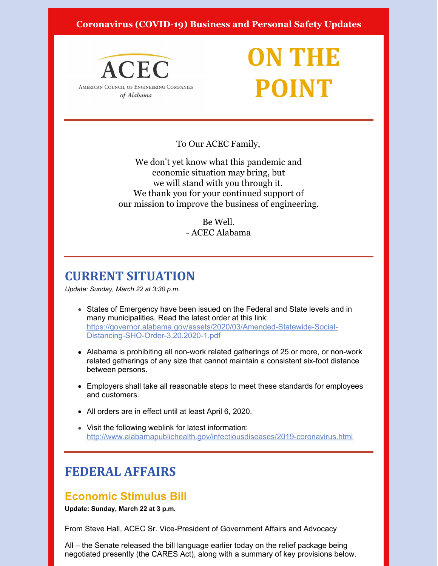### **Coronavirus (COVID-19) Business and Personal Safety Updates**



# **ON THE POINT**

To Our ACEC Family,

We don't yet know what this pandemic and economic situation may bring, but we will stand with you through it. We thank you for your continued support of our mission to improve the business of engineering.

> Be Well. - ACEC Alabama

# **CURRENT SITUATION**

*Update: Sunday, March 22 at 3:30 p.m.*

- States of Emergency have been issued on the Federal and State levels and in many municipalities. Read the latest order at this link: [https://governor.alabama.gov/assets/2020/03/Amended-Statewide-Social-](https://governor.alabama.gov/assets/2020/03/Amended-Statewide-Social-Distancing-SHO-Order-3.20.2020-1.pdf)Distancing-SHO-Order-3.20.2020-1.pdf
- Alabama is prohibiting all non-work related gatherings of 25 or more, or non-work related gatherings of any size that cannot maintain a consistent six-foot distance between persons.
- Employers shall take all reasonable steps to meet these standards for employees and customers.
- All orders are in effect until at least April 6, 2020.
- Visit the following weblink for latest information: <http://www.alabamapublichealth.gov/infectiousdiseases/2019-coronavirus.html>

# **FEDERAL AFFAIRS**

### **Economic Stimulus Bill**

**Update: Sunday, March 22 at 3 p.m.**

From Steve Hall, ACEC Sr. Vice-President of Government Affairs and Advocacy

All – the Senate released the bill language earlier today on the relief package being negotiated presently (the CARES Act), along with a summary of key provisions below.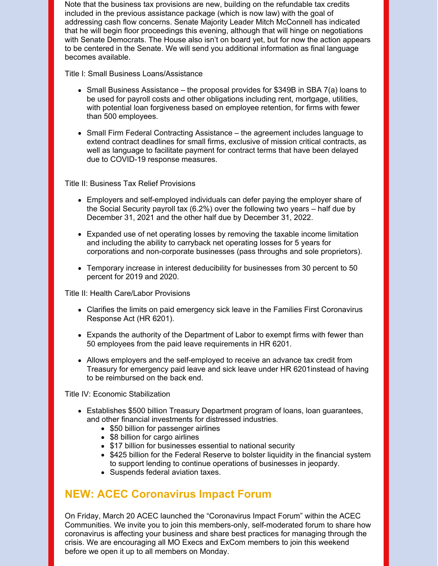Note that the business tax provisions are new, building on the refundable tax credits included in the previous assistance package (which is now law) with the goal of addressing cash flow concerns. Senate Majority Leader Mitch McConnell has indicated that he will begin floor proceedings this evening, although that will hinge on negotiations with Senate Democrats. The House also isn't on board yet, but for now the action appears to be centered in the Senate. We will send you additional information as final language becomes available.

Title I: Small Business Loans/Assistance

- $\bullet$  Small Business Assistance the proposal provides for \$349B in SBA 7(a) loans to be used for payroll costs and other obligations including rent, mortgage, utilities, with potential loan forgiveness based on employee retention, for firms with fewer than 500 employees.
- Small Firm Federal Contracting Assistance the agreement includes language to extend contract deadlines for small firms, exclusive of mission critical contracts, as well as language to facilitate payment for contract terms that have been delayed due to COVID-19 response measures.

Title II: Business Tax Relief Provisions

- Employers and self-employed individuals can defer paying the employer share of the Social Security payroll tax (6.2%) over the following two years – half due by December 31, 2021 and the other half due by December 31, 2022.
- Expanded use of net operating losses by removing the taxable income limitation and including the ability to carryback net operating losses for 5 years for corporations and non-corporate businesses (pass throughs and sole proprietors).
- Temporary increase in interest deducibility for businesses from 30 percent to 50 percent for 2019 and 2020.

Title II: Health Care/Labor Provisions

- Clarifies the limits on paid emergency sick leave in the Families First Coronavirus Response Act (HR 6201).
- Expands the authority of the Department of Labor to exempt firms with fewer than 50 employees from the paid leave requirements in HR 6201.
- Allows employers and the self-employed to receive an advance tax credit from Treasury for emergency paid leave and sick leave under HR 6201instead of having to be reimbursed on the back end.

Title IV: Economic Stabilization

- Establishes \$500 billion Treasury Department program of loans, loan guarantees, and other financial investments for distressed industries.
	- \$50 billion for passenger airlines
	- \$8 billion for cargo airlines
	- \$17 billion for businesses essential to national security
	- \$425 billion for the Federal Reserve to bolster liquidity in the financial system to support lending to continue operations of businesses in jeopardy.
	- Suspends federal aviation taxes.

## **NEW: ACEC Coronavirus Impact Forum**

On Friday, March 20 ACEC launched the "Coronavirus Impact Forum" within the ACEC Communities. We invite you to join this members-only, self-moderated forum to share how coronavirus is affecting your business and share best practices for managing through the crisis. We are encouraging all MO Execs and ExCom members to join this weekend before we open it up to all members on Monday.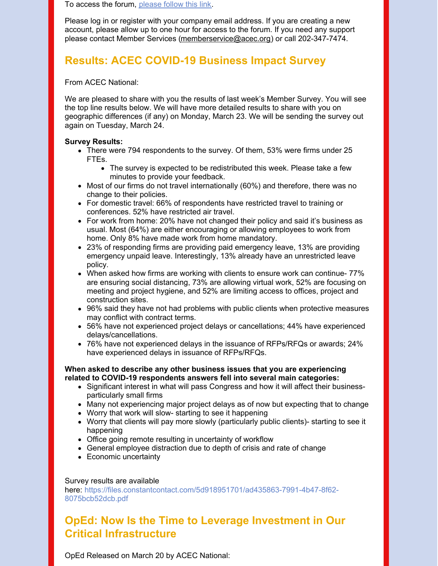To access the forum, [please](https://community.acec.org/communities/community-home?CommunityKey=a22f7fef-2b6d-4c66-ac17-f5006f12c6e7) follow this link.

Please log in or register with your company email address. If you are creating a new account, please allow up to one hour for access to the forum. If you need any support please contact Member Services [\(memberservice@acec.org](mailto:memberservice@acec.org)) or call 202-347-7474.

### **Results: ACEC COVID-19 Business Impact Survey**

From ACEC National:

We are pleased to share with you the results of last week's Member Survey. You will see the top line results below. We will have more detailed results to share with you on geographic differences (if any) on Monday, March 23. We will be sending the survey out again on Tuesday, March 24.

#### **Survey Results:**

- There were 794 respondents to the survey. Of them, 53% were firms under 25 FTEs.
	- The survey is expected to be redistributed this week. Please take a few minutes to provide your feedback.
- Most of our firms do not travel internationally (60%) and therefore, there was no change to their policies.
- For domestic travel: 66% of respondents have restricted travel to training or conferences. 52% have restricted air travel.
- For work from home: 20% have not changed their policy and said it's business as usual. Most (64%) are either encouraging or allowing employees to work from home. Only 8% have made work from home mandatory.
- 23% of responding firms are providing paid emergency leave, 13% are providing emergency unpaid leave. Interestingly, 13% already have an unrestricted leave policy.
- When asked how firms are working with clients to ensure work can continue- 77% are ensuring social distancing, 73% are allowing virtual work, 52% are focusing on meeting and project hygiene, and 52% are limiting access to offices, project and construction sites.
- 96% said they have not had problems with public clients when protective measures may conflict with contract terms.
- 56% have not experienced project delays or cancellations; 44% have experienced delays/cancellations.
- 76% have not experienced delays in the issuance of RFPs/RFQs or awards; 24% have experienced delays in issuance of RFPs/RFQs.

#### **When asked to describe any other business issues that you are experiencing related to COVID-19 respondents answers fell into several main categories:**

- Significant interest in what will pass Congress and how it will affect their businessparticularly small firms
- Many not experiencing major project delays as of now but expecting that to change
- Worry that work will slow- starting to see it happening
- Worry that clients will pay more slowly (particularly public clients)- starting to see it happening
- Office going remote resulting in uncertainty of workflow
- General employee distraction due to depth of crisis and rate of change
- Economic uncertainty

#### Survey results are available

here: https://files.constantcontact.com/5d918951701/ad435863-7991-4b47-8f62- 8075bcb52dcb.pdf

## **OpEd: Now Is the Time to Leverage Investment in Our Critical Infrastructure**

OpEd Released on March 20 by ACEC National: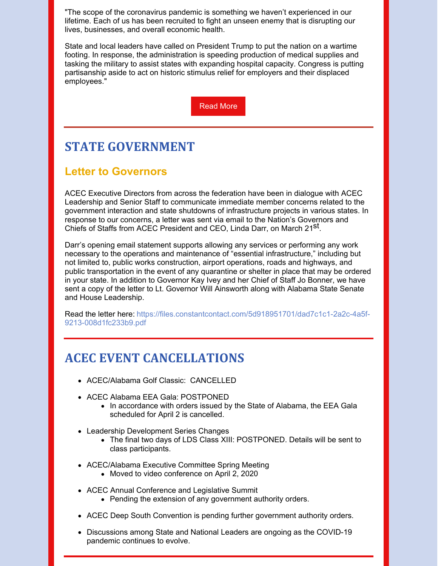"The scope of the coronavirus pandemic is something we haven't experienced in our lifetime. Each of us has been recruited to fight an unseen enemy that is disrupting our lives, businesses, and overall economic health.

State and local leaders have called on President Trump to put the nation on a wartime footing. In response, the administration is speeding production of medical supplies and tasking the military to assist states with expanding hospital capacity. Congress is putting partisanship aside to act on historic stimulus relief for employers and their displaced employees."

[Read](https://files.constantcontact.com/5d918951701/51cd1efb-a24e-4aec-8b13-5ed63abc883d.pdf) More

# **STATE GOVERNMENT**

### **Letter to Governors**

ACEC Executive Directors from across the federation have been in dialogue with ACEC Leadership and Senior Staff to communicate immediate member concerns related to the government interaction and state shutdowns of infrastructure projects in various states. In response to our concerns, a letter was sent via email to the Nation's Governors and Chiefs of Staffs from ACEC President and CEO, Linda Darr, on March 21<sup>st</sup>.

Darr's opening email statement supports allowing any services or performing any work necessary to the operations and maintenance of "essential infrastructure," including but not limited to, public works construction, airport operations, roads and highways, and public transportation in the event of any quarantine or shelter in place that may be ordered in your state. In addition to Governor Kay Ivey and her Chief of Staff Jo Bonner, we have sent a copy of the letter to Lt. Governor Will Ainsworth along with Alabama State Senate and House Leadership.

Read the letter here: https://files.constantcontact.com/5d918951701/dad7c1c1-2a2c-4a5f-9213-008d1fc233b9.pdf

# **ACEC EVENT CANCELLATIONS**

- ACEC/Alabama Golf Classic: CANCELLED
- ACEC Alabama EEA Gala: POSTPONED
	- In accordance with orders issued by the State of Alabama, the EEA Gala scheduled for April 2 is cancelled.
- Leadership Development Series Changes
	- The final two days of LDS Class XIII: POSTPONED. Details will be sent to class participants.
- ACEC/Alabama Executive Committee Spring Meeting
	- Moved to video conference on April 2, 2020
- ACEC Annual Conference and Legislative Summit
	- Pending the extension of any government authority orders.
- ACEC Deep South Convention is pending further government authority orders.
- Discussions among State and National Leaders are ongoing as the COVID-19 pandemic continues to evolve.